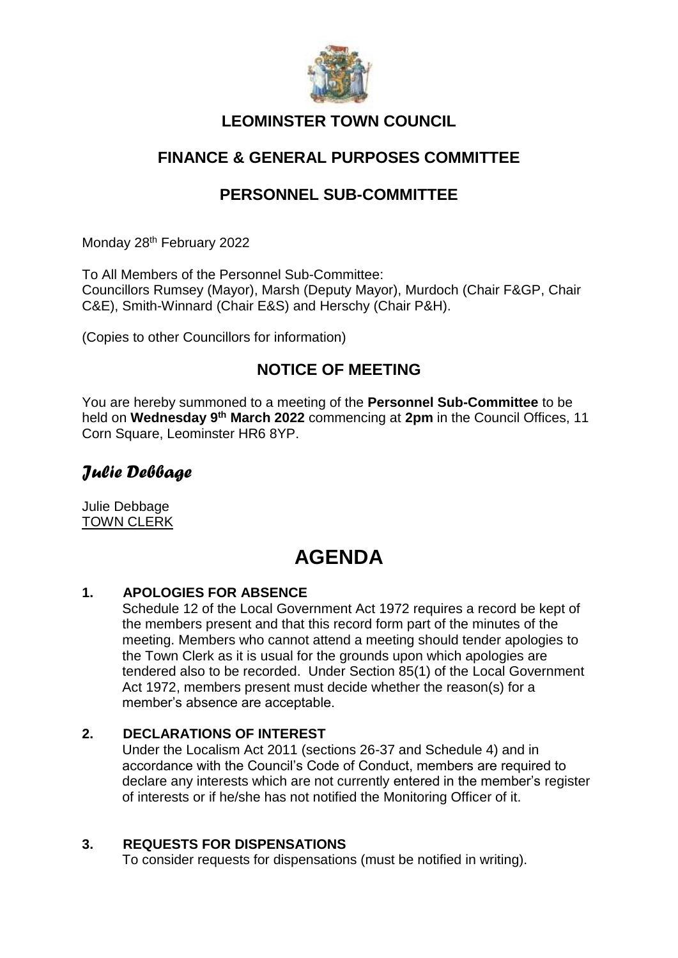

### **LEOMINSTER TOWN COUNCIL**

### **FINANCE & GENERAL PURPOSES COMMITTEE**

### **PERSONNEL SUB-COMMITTEE**

Monday 28<sup>th</sup> February 2022

To All Members of the Personnel Sub-Committee: Councillors Rumsey (Mayor), Marsh (Deputy Mayor), Murdoch (Chair F&GP, Chair C&E), Smith-Winnard (Chair E&S) and Herschy (Chair P&H).

(Copies to other Councillors for information)

### **NOTICE OF MEETING**

You are hereby summoned to a meeting of the **Personnel Sub-Committee** to be held on **Wednesday 9 th March 2022** commencing at **2pm** in the Council Offices, 11 Corn Square, Leominster HR6 8YP.

## *Julie Debbage*

Julie Debbage TOWN CLERK

## **AGENDA**

#### **1. APOLOGIES FOR ABSENCE**

Schedule 12 of the Local Government Act 1972 requires a record be kept of the members present and that this record form part of the minutes of the meeting. Members who cannot attend a meeting should tender apologies to the Town Clerk as it is usual for the grounds upon which apologies are tendered also to be recorded. Under Section 85(1) of the Local Government Act 1972, members present must decide whether the reason(s) for a member's absence are acceptable.

#### **2. DECLARATIONS OF INTEREST**

Under the Localism Act 2011 (sections 26-37 and Schedule 4) and in accordance with the Council's Code of Conduct, members are required to declare any interests which are not currently entered in the member's register of interests or if he/she has not notified the Monitoring Officer of it.

#### **3. REQUESTS FOR DISPENSATIONS**

To consider requests for dispensations (must be notified in writing).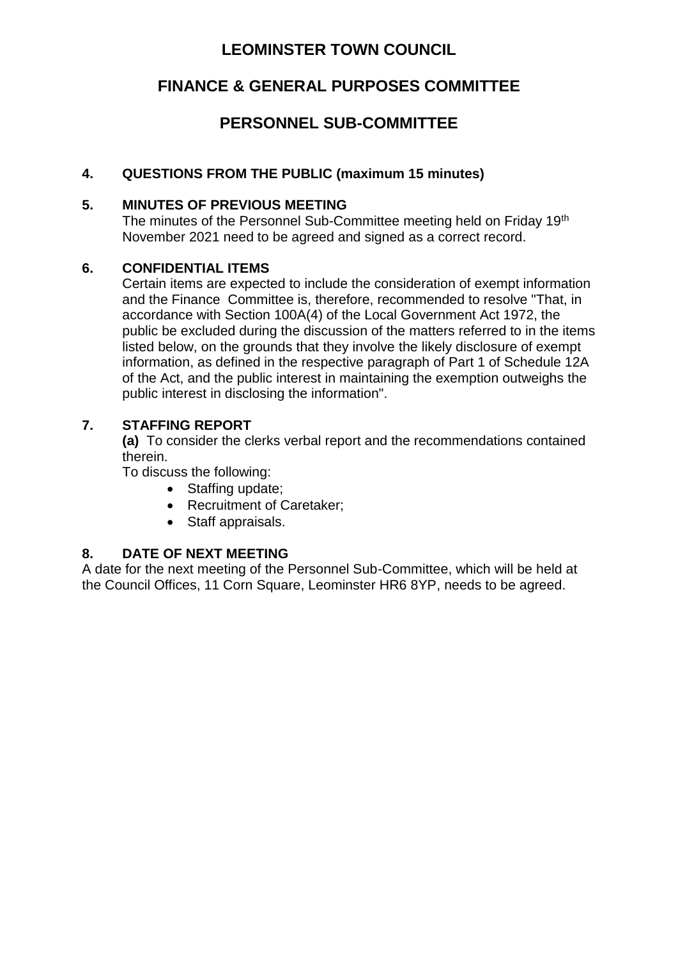### **LEOMINSTER TOWN COUNCIL**

### **FINANCE & GENERAL PURPOSES COMMITTEE**

### **PERSONNEL SUB-COMMITTEE**

#### **4. QUESTIONS FROM THE PUBLIC (maximum 15 minutes)**

#### **5. MINUTES OF PREVIOUS MEETING**

The minutes of the Personnel Sub-Committee meeting held on Friday 19<sup>th</sup> November 2021 need to be agreed and signed as a correct record.

#### **6. CONFIDENTIAL ITEMS**

Certain items are expected to include the consideration of exempt information and the Finance Committee is, therefore, recommended to resolve "That, in accordance with Section 100A(4) of the Local Government Act 1972, the public be excluded during the discussion of the matters referred to in the items listed below, on the grounds that they involve the likely disclosure of exempt information, as defined in the respective paragraph of Part 1 of Schedule 12A of the Act, and the public interest in maintaining the exemption outweighs the public interest in disclosing the information".

#### **7. STAFFING REPORT**

**(a)** To consider the clerks verbal report and the recommendations contained therein.

To discuss the following:

- Staffing update;
- Recruitment of Caretaker;
- Staff appraisals.

#### **8. DATE OF NEXT MEETING**

A date for the next meeting of the Personnel Sub-Committee, which will be held at the Council Offices, 11 Corn Square, Leominster HR6 8YP, needs to be agreed.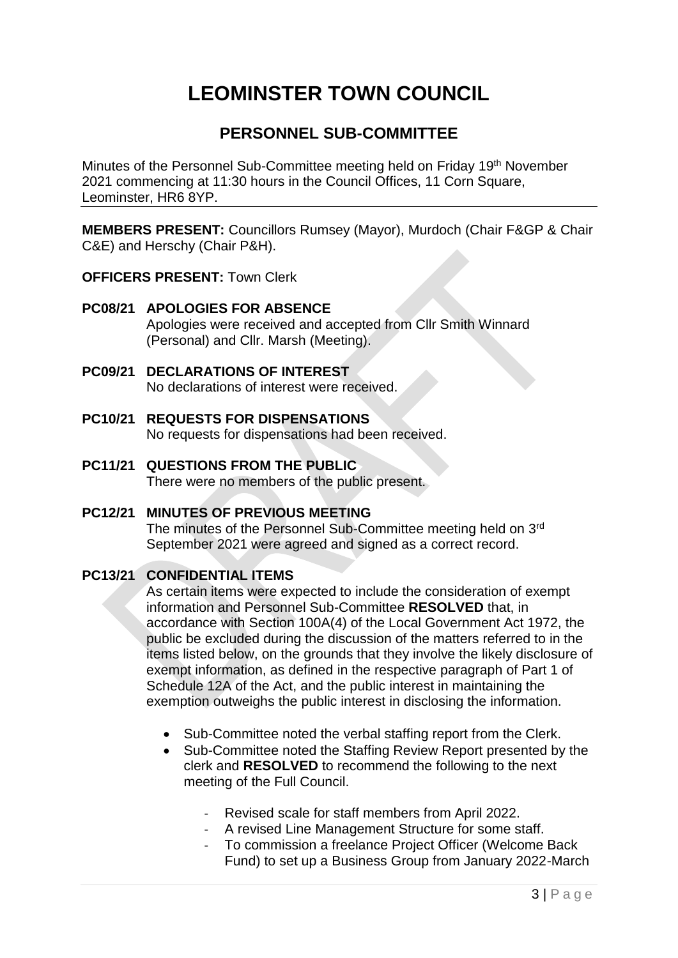# **LEOMINSTER TOWN COUNCIL**

### **PERSONNEL SUB-COMMITTEE**

Minutes of the Personnel Sub-Committee meeting held on Friday 19<sup>th</sup> November 2021 commencing at 11:30 hours in the Council Offices, 11 Corn Square, Leominster, HR6 8YP.

**MEMBERS PRESENT:** Councillors Rumsey (Mayor), Murdoch (Chair F&GP & Chair C&E) and Herschy (Chair P&H).

#### **OFFICERS PRESENT:** Town Clerk

- **PC08/21 APOLOGIES FOR ABSENCE** Apologies were received and accepted from Cllr Smith Winnard (Personal) and Cllr. Marsh (Meeting).
- **PC09/21 DECLARATIONS OF INTEREST** No declarations of interest were received.
- **PC10/21 REQUESTS FOR DISPENSATIONS** No requests for dispensations had been received.
- **PC11/21 QUESTIONS FROM THE PUBLIC**  There were no members of the public present.

#### **PC12/21 MINUTES OF PREVIOUS MEETING**

The minutes of the Personnel Sub-Committee meeting held on 3<sup>rd</sup> September 2021 were agreed and signed as a correct record.

#### **PC13/21 CONFIDENTIAL ITEMS**

As certain items were expected to include the consideration of exempt information and Personnel Sub-Committee **RESOLVED** that, in accordance with Section 100A(4) of the Local Government Act 1972, the public be excluded during the discussion of the matters referred to in the items listed below, on the grounds that they involve the likely disclosure of exempt information, as defined in the respective paragraph of Part 1 of Schedule 12A of the Act, and the public interest in maintaining the exemption outweighs the public interest in disclosing the information.

- Sub-Committee noted the verbal staffing report from the Clerk.
- Sub-Committee noted the Staffing Review Report presented by the clerk and **RESOLVED** to recommend the following to the next meeting of the Full Council.
	- Revised scale for staff members from April 2022.
	- A revised Line Management Structure for some staff.
	- To commission a freelance Project Officer (Welcome Back Fund) to set up a Business Group from January 2022-March